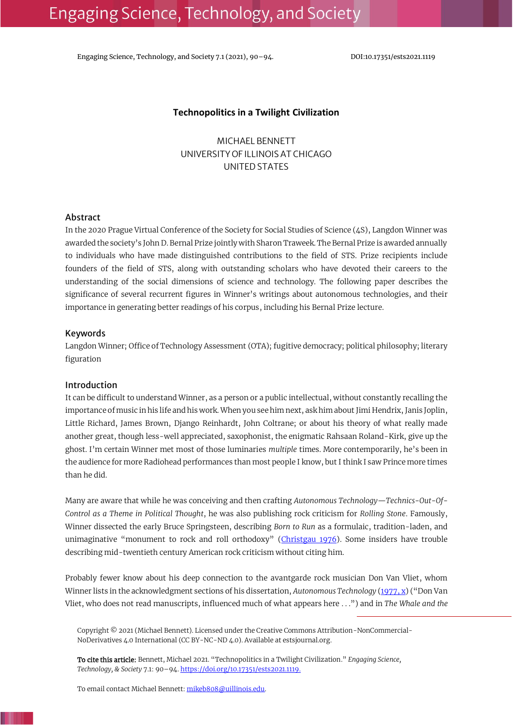Engaging Science, Technology, and Society 7.1 (2021), 90-94. DOI:10.17351/ests2021.1119

## **Technopolitics in a Twilight Civilization**

MICHAEL BENNETT UNIVERSITY OF ILLINOIS AT CHICAGO UNITED STATES

#### Abstract

In the 2020 Prague Virtual Conference of the Society for Social Studies of Science (4S), Langdon Winner was awarded the society's John D. Bernal Prize jointly with Sharon Traweek. The Bernal Prize is awarded annually to individuals who have made distinguished contributions to the field of STS. Prize recipients include founders of the field of STS, along with outstanding scholars who have devoted their careers to the understanding of the social dimensions of science and technology. The following paper describes the significance of several recurrent figures in Winner's writings about autonomous technologies, and their importance in generating better readings of his corpus, including his Bernal Prize lecture.

## Keywords

Langdon Winner; Office of Technology Assessment (OTA); fugitive democracy; political philosophy; literary figuration

#### Introduction

It can be difficult to understand Winner, as a person or a public intellectual, without constantly recalling the importance of music in his life and his work. When you see him next, ask him about Jimi Hendrix, Janis Joplin, Little Richard, James Brown, Django Reinhardt, John Coltrane; or about his theory of what really made another great, though less-well appreciated, saxophonist, the enigmatic Rahsaan Roland-Kirk, give up the ghost. I'm certain Winner met most of those luminaries *multiple* times. More contemporarily, he's been in the audience for more Radiohead performances than most people I know, but I think I saw Prince more times than he did.

Many are aware that while he was conceiving and then crafting *Autonomous Technology—Technics-Out-Of-Control as a Theme in Political Thought*, he was also publishing rock criticism for *Rolling Stone*. Famously, Winner dissected the early Bruce Springsteen, describing *Born to Run* as a formulaic, tradition-laden, and unimaginative "monument to rock and roll orthodoxy" ([Christgau 1976\)](#page-4-0). Some insiders have trouble describing mid-twentieth century American rock criticism without citing him.

Probably fewer know about his deep connection to the avantgarde rock musician Don Van Vliet, whom Winner lists in the acknowledgment sections of his dissertation, *Autonomous Technology* [\(1977,](#page-4-1) x) ("Don Van Vliet, who does not read manuscripts, influenced much of what appears here . . .") and in *The Whale and the* 

Copyright © 2021 (Michael Bennett). Licensed under the Creative Commons Attribution-NonCommercial-NoDerivatives 4.0 International (CC BY-NC-ND 4.0). Available at estsjournal.org.

To cite this article: Bennett, Michael 2021. "Technopolitics in a Twilight Civilization." *Engaging Science, Technology, & Society* 7.1: 90–94. [https://doi.org/10.17351/ests2021.1119.](https://doi.org/10.17351/ests2021.1119)

To email contact Michael Bennett[: mikeb808@uillinois.edu.](mailto:mikeb808@uillinois.edu)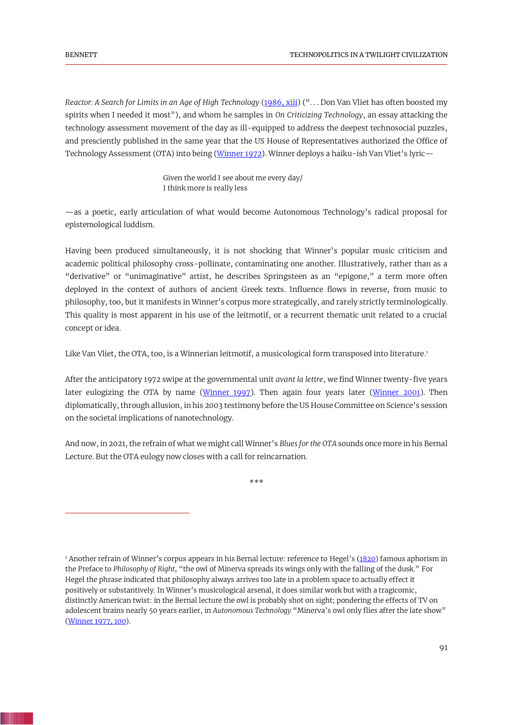*Reactor: A Search for Limits in an Age of High Technology* [\(1986,](#page-4-2) xiii) (". . . Don Van Vliet has often boosted my spirits when I needed it most"), and whom he samples in *On Criticizing Technology*, an essay attacking the technology assessment movement of the day as ill-equipped to address the deepest technosocial puzzles, and presciently published in the same year that the US House of Representatives authorized the Office of Technology Assessment (OTA) into being [\(Winner 1972\)](#page-4-3). Winner deploys a haiku-ish Van Vliet's lyric—

> Given the world I see about me every day/ I think more is really less

—as a poetic, early articulation of what would become Autonomous Technology's radical proposal for epistemological luddism.

Having been produced simultaneously, it is not shocking that Winner's popular music criticism and academic political philosophy cross-pollinate, contaminating one another. Illustratively, rather than as a "derivative" or "unimaginative" artist, he describes Springsteen as an "epigone," a term more often deployed in the context of authors of ancient Greek texts. Influence flows in reverse, from music to philosophy, too, but it manifests in Winner's corpus more strategically, and rarely strictly terminologically. This quality is most apparent in his use of the leitmotif, or a recurrent thematic unit related to a crucial concept or idea.

Like Van Vliet, the OTA, too, is a Winnerian leitmotif, a musicological form transposed into literature.<sup>1</sup>

After the anticipatory 1972 swipe at the governmental unit *avant la lettre*, we find Winner twenty-five years later eulogizing the OTA by name [\(Winner 1997\)](#page-4-4). Then again four years later [\(Winner 2001\)](#page-4-5). Then diplomatically, through allusion, in his 2003 testimony before the US House Committee on Science's session on the societal implications of nanotechnology.

And now, in 2021, the refrain of what we might call Winner's *Blues for the OTA* sounds once more in his Bernal Lecture. But the OTA eulogy now closes with a call for reincarnation.

\*\*\*

<sup>&</sup>lt;sup>1</sup> Another refrain of Winner's corpus appears in his Bernal lecture: reference to Hegel's ([1820\)](#page-4-6) famous aphorism in the Preface to *Philosophy of Right*, "the owl of Minerva spreads its wings only with the falling of the dusk." For Hegel the phrase indicated that philosophy always arrives too late in a problem space to actually effect it positively or substantively. In Winner's musicological arsenal, it does similar work but with a tragicomic, distinctly American twist: in the Bernal lecture the owl is probably shot on sight; pondering the effects of TV on adolescent brains nearly 50 years earlier, in *Autonomous Technology* "Minerva's owl only flies after the late show" [\(Winner 1977, 100\)](#page-4-1).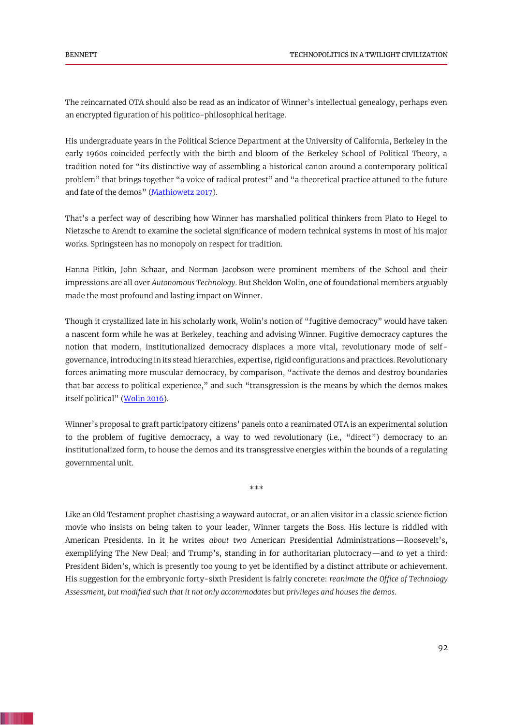The reincarnated OTA should also be read as an indicator of Winner's intellectual genealogy, perhaps even an encrypted figuration of his politico-philosophical heritage.

His undergraduate years in the Political Science Department at the University of California, Berkeley in the early 1960s coincided perfectly with the birth and bloom of the Berkeley School of Political Theory, a tradition noted for "its distinctive way of assembling a historical canon around a contemporary political problem" that brings together "a voice of radical protest" and "a theoretical practice attuned to the future and fate of the demos" (Mathiowetz 2017).

That's a perfect way of describing how Winner has marshalled political thinkers from Plato to Hegel to Nietzsche to Arendt to examine the societal significance of modern technical systems in most of his major works. Springsteen has no monopoly on respect for tradition.

Hanna Pitkin, John Schaar, and Norman Jacobson were prominent members of the School and their impressions are all over *Autonomous Technology*. But Sheldon Wolin, one of foundational members arguably made the most profound and lasting impact on Winner.

Though it crystallized late in his scholarly work, Wolin's notion of "fugitive democracy" would have taken a nascent form while he was at Berkeley, teaching and advising Winner. Fugitive democracy captures the notion that modern, institutionalized democracy displaces a more vital, revolutionary mode of selfgovernance, introducing in its stead hierarchies, expertise, rigid configurations and practices. Revolutionary forces animating more muscular democracy, by comparison, "activate the demos and destroy boundaries that bar access to political experience," and such "transgression is the means by which the demos makes itself political" (Wolin 2016).

Winner's proposal to graft participatory citizens' panels onto a reanimated OTA is an experimental solution to the problem of fugitive democracy, a way to wed revolutionary (i.e., "direct") democracy to an institutionalized form, to house the demos and its transgressive energies within the bounds of a regulating governmental unit.

\*\*\*

Like an Old Testament prophet chastising a wayward autocrat, or an alien visitor in a classic science fiction movie who insists on being taken to your leader, Winner targets the Boss. His lecture is riddled with American Presidents. In it he writes *about* two American Presidential Administrations—Roosevelt's, exemplifying The New Deal; and Trump's, standing in for authoritarian plutocracy—and *to* yet a third: President Biden's, which is presently too young to yet be identified by a distinct attribute or achievement. His suggestion for the embryonic forty-sixth President is fairly concrete: *reanimate the Office of Technology Assessment, but modified such that it not only accommodates* but *privileges and houses the demos*.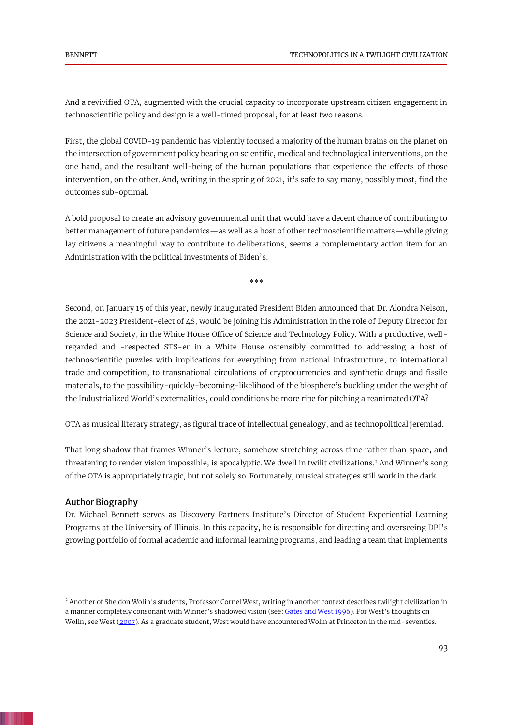And a revivified OTA, augmented with the crucial capacity to incorporate upstream citizen engagement in technoscientific policy and design is a well-timed proposal, for at least two reasons.

First, the global COVID-19 pandemic has violently focused a majority of the human brains on the planet on the intersection of government policy bearing on scientific, medical and technological interventions, on the one hand, and the resultant well-being of the human populations that experience the effects of those intervention, on the other. And, writing in the spring of 2021, it's safe to say many, possibly most, find the outcomes sub-optimal.

A bold proposal to create an advisory governmental unit that would have a decent chance of contributing to better management of future pandemics—as well as a host of other technoscientific matters—while giving lay citizens a meaningful way to contribute to deliberations, seems a complementary action item for an Administration with the political investments of Biden's.

\*\*\*

Second, on January 15 of this year, newly inaugurated President Biden announced that Dr. Alondra Nelson, the 2021-2023 President-elect of 4S, would be joining his Administration in the role of Deputy Director for Science and Society, in the White House Office of Science and Technology Policy. With a productive, wellregarded and -respected STS-er in a White House ostensibly committed to addressing a host of technoscientific puzzles with implications for everything from national infrastructure, to international trade and competition, to transnational circulations of cryptocurrencies and synthetic drugs and fissile materials, to the possibility-quickly-becoming-likelihood of the biosphere's buckling under the weight of the Industrialized World's externalities, could conditions be more ripe for pitching a reanimated OTA?

OTA as musical literary strategy, as figural trace of intellectual genealogy, and as technopolitical jeremiad.

That long shadow that frames Winner's lecture, somehow stretching across time rather than space, and threatening to render vision impossible, is apocalyptic. We dwell in twilit civilizations.<sup>2</sup> And Winner's song of the OTA is appropriately tragic, but not solely so. Fortunately, musical strategies still work in the dark.

#### Author Biography

Dr. Michael Bennett serves as Discovery Partners Institute's Director of Student Experiential Learning Programs at the University of Illinois. In this capacity, he is responsible for directing and overseeing DPI's growing portfolio of formal academic and informal learning programs, and leading a team that implements

<sup>&</sup>lt;sup>2</sup> Another of Sheldon Wolin's students, Professor Cornel West, writing in another context describes twilight civilization in a manner completely consonant with Winner's shadowed vision (see: Gates and West 1996). For West's thoughts on Wolin, see West (2007). As a graduate student, West would have encountered Wolin at Princeton in the mid-seventies.